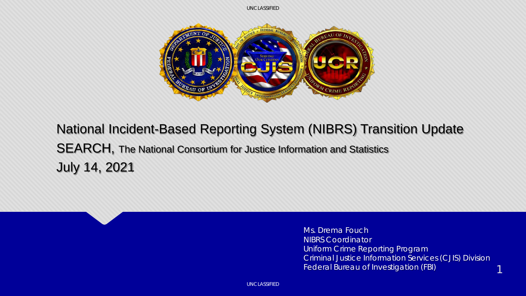

#### National Incident-Based Reporting System (NIBRS) Transition Update SEARCH, The National Consortium for Justice Information and Statistics July 14, 2021

Ms. Drema Fouch NIBRS Coordinator Uniform Crime Reporting Program Criminal Justice Information Services (CJIS) Division Federal Bureau of Investigation (FBI)

1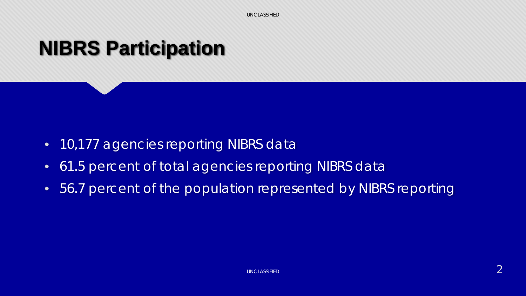### **NIBRS Participation**

- 10,177 agencies reporting NIBRS data
- 61.5 percent of total agencies reporting NIBRS data
- 56.7 percent of the population represented by NIBRS reporting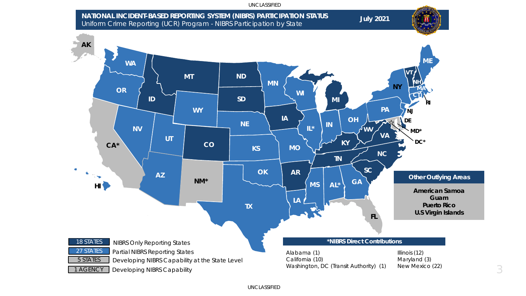

3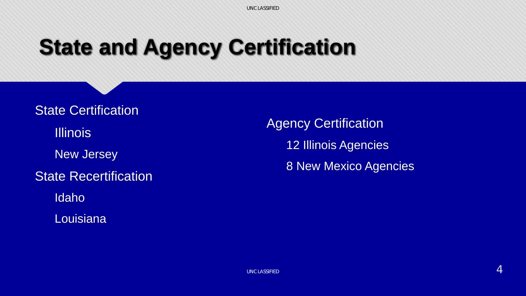## **State and Agency Certification**

State Certification **Illinois** New Jersey State Recertification Idaho **Louisiana** 

**Agency Certification** 12 Illinois Agencies 8 New Mexico Agencies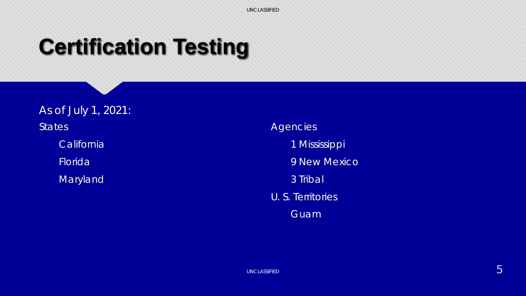# **Certification Testing**

As of July 1, 2021: **States California** Florida **Maryland** 

#### **Agencies**

- 1 Mississippi
- 9 New Mexico
- 3 Tribal
- U. S. Territories
	- Guam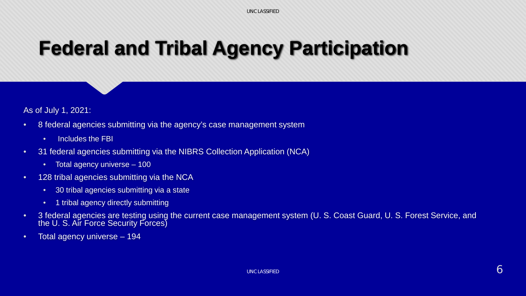## **Federal and Tribal Agency Participation**

As of July 1, 2021:

- 8 federal agencies submitting via the agency's case management system
	- Includes the FBI
- 31 federal agencies submitting via the NIBRS Collection Application (NCA)
	- Total agency universe 100
- 128 tribal agencies submitting via the NCA
	- 30 tribal agencies submitting via a state
	- 1 tribal agency directly submitting
- 3 federal agencies are testing using the current case management system (U. S. Coast Guard, U. S. Forest Service, and the U. S. Air Force Security Forces)
- Total agency universe 194